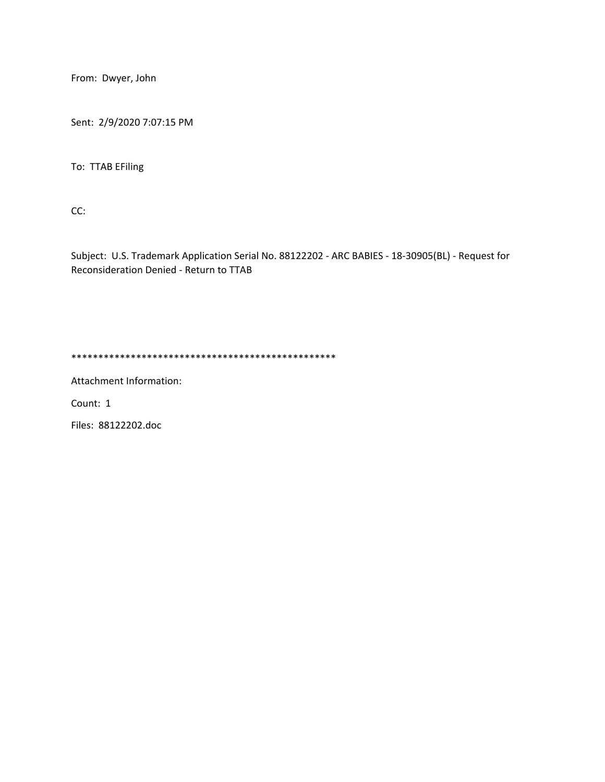From: Dwyer, John

Sent: 2/9/2020 7:07:15 PM

To: TTAB EFiling

CC:

Subject: U.S. Trademark Application Serial No. 88122202 - ARC BABIES - 18-30905(BL) - Request for Reconsideration Denied - Return to TTAB

\*\*\*\*\*\*\*\*\*\*\*\*\*\*\*\*\*\*\*\*\*\*\*\*\*\*\*\*\*\*\*\*\*\*\*\*\*\*\*\*\*\*\*\*\*\*\*\*\*

Attachment Information:

Count: 1

Files: 88122202.doc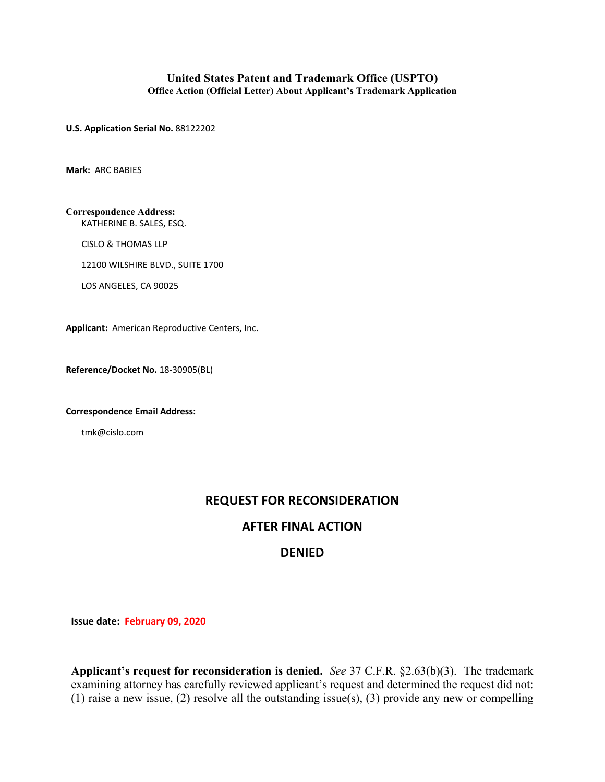## **United States Patent and Trademark Office (USPTO) Office Action (Official Letter) About Applicant's Trademark Application**

**U.S. Application Serial No.** 88122202

**Mark:** ARC BABIES

**Correspondence Address:** KATHERINE B. SALES, ESQ.

CISLO & THOMAS LLP

12100 WILSHIRE BLVD., SUITE 1700

LOS ANGELES, CA 90025

**Applicant:** American Reproductive Centers, Inc.

**Reference/Docket No.** 18-30905(BL)

**Correspondence Email Address:**

tmk@cislo.com

## **REQUEST FOR RECONSIDERATION**

## **AFTER FINAL ACTION**

## **DENIED**

**Issue date: February 09, 2020**

**Applicant's request for reconsideration is denied.** *See* 37 C.F.R. §2.63(b)(3). The trademark examining attorney has carefully reviewed applicant's request and determined the request did not: (1) raise a new issue, (2) resolve all the outstanding issue(s), (3) provide any new or compelling